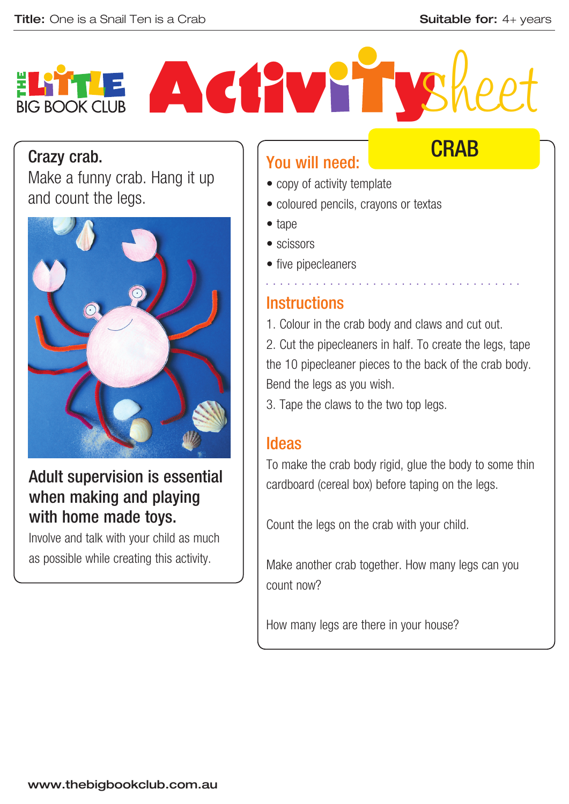**CRAB** 

# Activ Yry **BIG BOOK CLUB**

#### Crazy crab.

Make a funny crab. Hang it up and count the legs.



## Adult supervision is essential when making and playing with home made toys.

Involve and talk with your child as much as possible while creating this activity.

# You will need:

- copy of activity template
- coloured pencils, crayons or textas
- tape
- scissors
- five pipecleaners

## **Instructions**

1. Colour in the crab body and claws and cut out. 2. Cut the pipecleaners in half. To create the legs, tape the 10 pipecleaner pieces to the back of the crab body. Bend the legs as you wish.

• • • • • • • • • • • • • • • • • • • • • • • • • • • • • • • • • • • •

3. Tape the claws to the two top legs.

### Ideas

To make the crab body rigid, glue the body to some thin cardboard (cereal box) before taping on the legs.

Count the legs on the crab with your child.

Make another crab together. How many legs can you count now?

How many legs are there in your house?